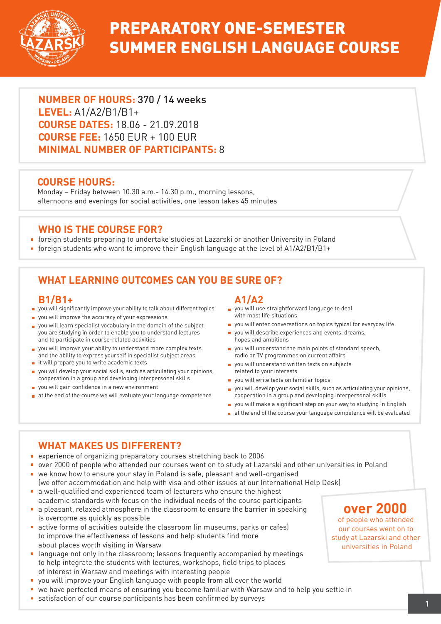

# PREPARATORY ONE-SEMESTER SUMMER ENGLISH LANGUAGE COURSE

**NUMBER OF HOURS:** 370 / 14 weeks **LEVEL:** A1/A2/B1/B1+ **COURSE DATES:** 18.06 - 21.09.2018 **COURSE FEE:** 1650 EUR + 100 EUR **MINIMAL NUMBER OF PARTICIPANTS:** 8

### **COURSE HOURS:**

Monday – Friday between 10.30 a.m.- 14.30 p.m., morning lessons, afternoons and evenings for social activities, one lesson takes 45 minutes

## **WHO IS THE COURSE FOR?**

- foreign students preparing to undertake studies at Lazarski or another University in Poland
- foreign students who want to improve their English language at the level of A1/A2/B1/B1+

# **WHAT LEARNING OUTCOMES CAN YOU BE SURE OF?**

#### **B1/B1+**

- **p** you will significantly improve your ability to talk about different topics
- **p** you will improve the accuracy of your expressions
- **p** you will learn specialist vocabulary in the domain of the subject you are studying in order to enable you to understand lectures and to participate in course-related activities
- you will improve your ability to understand more complex texts and the ability to express yourself in specialist subject areas
- $\blacksquare$  it will prepare you to write academic texts
- you will develop your social skills, such as articulating your opinions, cooperation in a group and developing interpersonal skills
- **v** you will gain confidence in a new environment
- at the end of the course we will evaluate your language competence

**A1/A2**

- vou will use straightforward language to deal with most life situations
- you will enter conversations on topics typical for everyday life
- you will describe experiences and events, dreams, hopes and ambitions
- **p** you will understand the main points of standard speech, radio or TV programmes on current affairs
- vou will understand written texts on subjects related to your interests
- vou will write texts on familiar topics
- **p** you will develop your social skills, such as articulating your opinions, cooperation in a group and developing interpersonal skills
- you will make a significant step on your way to studying in English
- at the end of the course your language competence will be evaluated

## **WHAT MAKES US DIFFERENT?**

- experience of organizing preparatory courses stretching back to 2006
- over 2000 of people who attended our courses went on to study at Lazarski and other universities in Poland we know how to ensure your stay in Poland is safe, pleasant and well-organised
- (we offer accommodation and help with visa and other issues at our International Help Desk) **a** a well-qualified and experienced team of lecturers who ensure the highest
- academic standards with focus on the individual needs of the course participants
- **a** pleasant, relaxed atmosphere in the classroom to ensure the barrier in speaking is overcome as quickly as possible
- active forms of activities outside the classroom (in museums, parks or cafes) to improve the effectiveness of lessons and help students find more about places worth visiting in Warsaw
- **E** language not only in the classroom; lessons frequently accompanied by meetings to help integrate the students with lectures, workshops, field trips to places of interest in Warsaw and meetings with interesting people
- vou will improve your English language with people from all over the world
- we have perfected means of ensuring you become familiar with Warsaw and to help you settle in
- satisfaction of our course participants has been confirmed by surveys **<sup>1</sup>**

# **over 2000**

of people who attended our courses went on to study at Lazarski and other universities in Poland